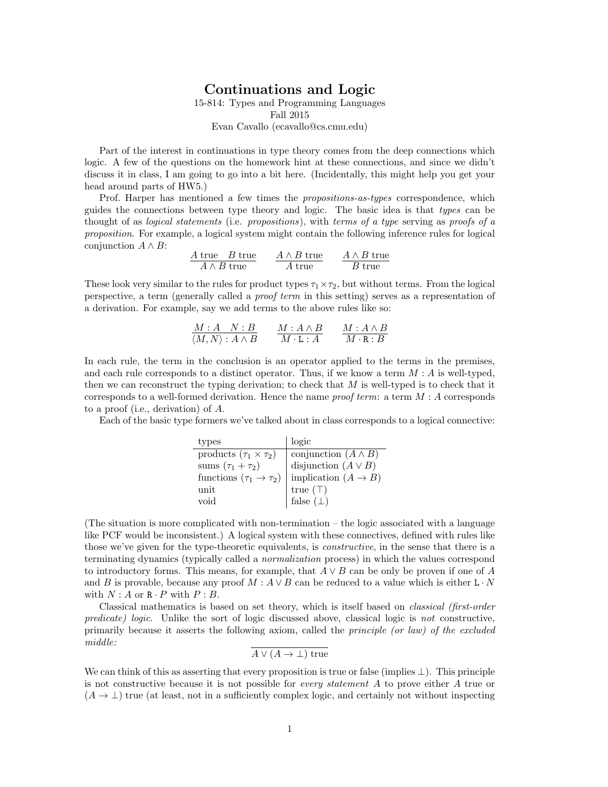## Continuations and Logic 15-814: Types and Programming Languages Fall 2015 Evan Cavallo (ecavallo@cs.cmu.edu)

Part of the interest in continuations in type theory comes from the deep connections which logic. A few of the questions on the homework hint at these connections, and since we didn't discuss it in class, I am going to go into a bit here. (Incidentally, this might help you get your head around parts of HW5.)

Prof. Harper has mentioned a few times the propositions-as-types correspondence, which guides the connections between type theory and logic. The basic idea is that types can be thought of as *logical statements* (i.e. *propositions*), with *terms of a type* serving as *proofs of a* proposition. For example, a logical system might contain the following inference rules for logical conjunction  $A \wedge B$ :

| $A$ true $B$ true | $A \wedge B$ true | $A \wedge B$ true |
|-------------------|-------------------|-------------------|
| $A \wedge B$ true | A true            | $B$ true          |

These look very similar to the rules for product types  $\tau_1 \times \tau_2$ , but without terms. From the logical perspective, a term (generally called a proof term in this setting) serves as a representation of a derivation. For example, say we add terms to the above rules like so:

$$
\frac{M:A \quad N:B}{\langle M,N \rangle: A \wedge B} \qquad \frac{M:A \wedge B}{M \cdot L:A} \qquad \frac{M:A \wedge B}{M \cdot R:B}
$$

In each rule, the term in the conclusion is an operator applied to the terms in the premises, and each rule corresponds to a distinct operator. Thus, if we know a term  $M : A$  is well-typed, then we can reconstruct the typing derivation; to check that  $M$  is well-typed is to check that it corresponds to a well-formed derivation. Hence the name *proof term*: a term  $M : A$  corresponds to a proof (i.e., derivation) of A.

Each of the basic type formers we've talked about in class corresponds to a logical connective:

| types                                   | logic                           |
|-----------------------------------------|---------------------------------|
| products $(\tau_1 \times \tau_2)$       | conjunction $(A \wedge B)$      |
| sums $(\tau_1 + \tau_2)$                | disjunction $(A \vee B)$        |
| functions $(\tau_1 \rightarrow \tau_2)$ | implication $(A \rightarrow B)$ |
| unit                                    | true $(\top)$                   |
| void                                    | false $(\perp)$                 |

(The situation is more complicated with non-termination – the logic associated with a language like PCF would be inconsistent.) A logical system with these connectives, defined with rules like those we've given for the type-theoretic equivalents, is *constructive*, in the sense that there is a terminating dynamics (typically called a normalization process) in which the values correspond to introductory forms. This means, for example, that  $A \vee B$  can be only be proven if one of A and B is provable, because any proof  $M : A \vee B$  can be reduced to a value which is either L · N with  $N : A$  or  $R \cdot P$  with  $P : B$ .

Classical mathematics is based on set theory, which is itself based on classical (first-order predicate) logic. Unlike the sort of logic discussed above, classical logic is not constructive, primarily because it asserts the following axiom, called the *principle (or law)* of the excluded middle:

$$
A \vee (A \rightarrow \bot)
$$
 true

We can think of this as asserting that every proposition is true or false (implies  $\perp$ ). This principle is not constructive because it is not possible for every statement A to prove either A true or  $(A \to \perp)$  true (at least, not in a sufficiently complex logic, and certainly not without inspecting